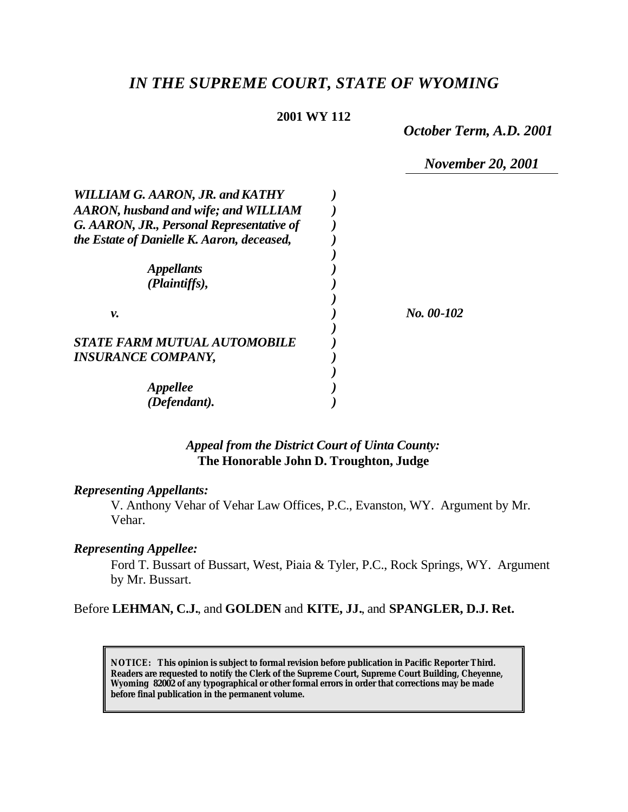# *IN THE SUPREME COURT, STATE OF WYOMING*

#### **2001 WY 112**

*October Term, A.D. 2001*

*November 20, 2001*

| <b>WILLIAM G. AARON, JR. and KATHY</b>     |            |
|--------------------------------------------|------------|
| AARON, husband and wife; and WILLIAM       |            |
| G. AARON, JR., Personal Representative of  |            |
| the Estate of Danielle K. Aaron, deceased, |            |
|                                            |            |
| <i><b>Appellants</b></i>                   |            |
| (Plaintiffs),                              |            |
|                                            |            |
| v.                                         | No. 00-102 |
|                                            |            |
| <b>STATE FARM MUTUAL AUTOMOBILE</b>        |            |
| <b>INSURANCE COMPANY,</b>                  |            |
|                                            |            |
| <b>Appellee</b>                            |            |
| (Defendant).                               |            |

# *Appeal from the District Court of Uinta County:* **The Honorable John D. Troughton, Judge**

#### *Representing Appellants:*

V. Anthony Vehar of Vehar Law Offices, P.C., Evanston, WY. Argument by Mr. Vehar.

#### *Representing Appellee:*

Ford T. Bussart of Bussart, West, Piaia & Tyler, P.C., Rock Springs, WY. Argument by Mr. Bussart.

#### Before **LEHMAN, C.J.**, and **GOLDEN** and **KITE, JJ.**, and **SPANGLER, D.J. Ret.**

**NOTICE:** *This opinion is subject to formal revision before publication in Pacific Reporter Third. Readers are requested to notify the Clerk of the Supreme Court, Supreme Court Building, Cheyenne, Wyoming 82002 of any typographical or other formal errors in order that corrections may be made before final publication in the permanent volume.*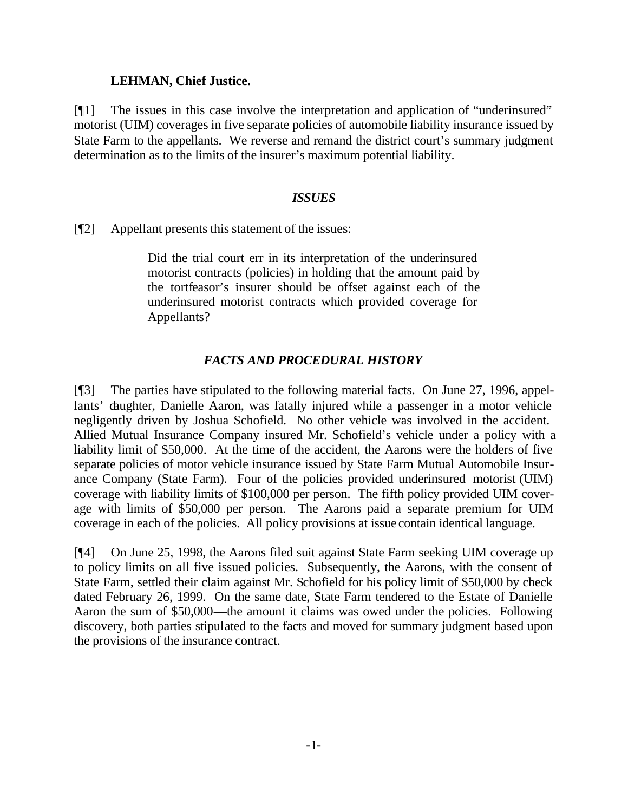#### **LEHMAN, Chief Justice.**

[¶1] The issues in this case involve the interpretation and application of "underinsured" motorist (UIM) coverages in five separate policies of automobile liability insurance issued by State Farm to the appellants. We reverse and remand the district court's summary judgment determination as to the limits of the insurer's maximum potential liability.

## *ISSUES*

[¶2] Appellant presents this statement of the issues:

Did the trial court err in its interpretation of the underinsured motorist contracts (policies) in holding that the amount paid by the tortfeasor's insurer should be offset against each of the underinsured motorist contracts which provided coverage for Appellants?

# *FACTS AND PROCEDURAL HISTORY*

[¶3] The parties have stipulated to the following material facts. On June 27, 1996, appellants' daughter, Danielle Aaron, was fatally injured while a passenger in a motor vehicle negligently driven by Joshua Schofield. No other vehicle was involved in the accident. Allied Mutual Insurance Company insured Mr. Schofield's vehicle under a policy with a liability limit of \$50,000. At the time of the accident, the Aarons were the holders of five separate policies of motor vehicle insurance issued by State Farm Mutual Automobile Insurance Company (State Farm). Four of the policies provided underinsured motorist (UIM) coverage with liability limits of \$100,000 per person. The fifth policy provided UIM coverage with limits of \$50,000 per person. The Aarons paid a separate premium for UIM coverage in each of the policies. All policy provisions at issue contain identical language.

[¶4] On June 25, 1998, the Aarons filed suit against State Farm seeking UIM coverage up to policy limits on all five issued policies. Subsequently, the Aarons, with the consent of State Farm, settled their claim against Mr. Schofield for his policy limit of \$50,000 by check dated February 26, 1999. On the same date, State Farm tendered to the Estate of Danielle Aaron the sum of \$50,000—the amount it claims was owed under the policies. Following discovery, both parties stipulated to the facts and moved for summary judgment based upon the provisions of the insurance contract.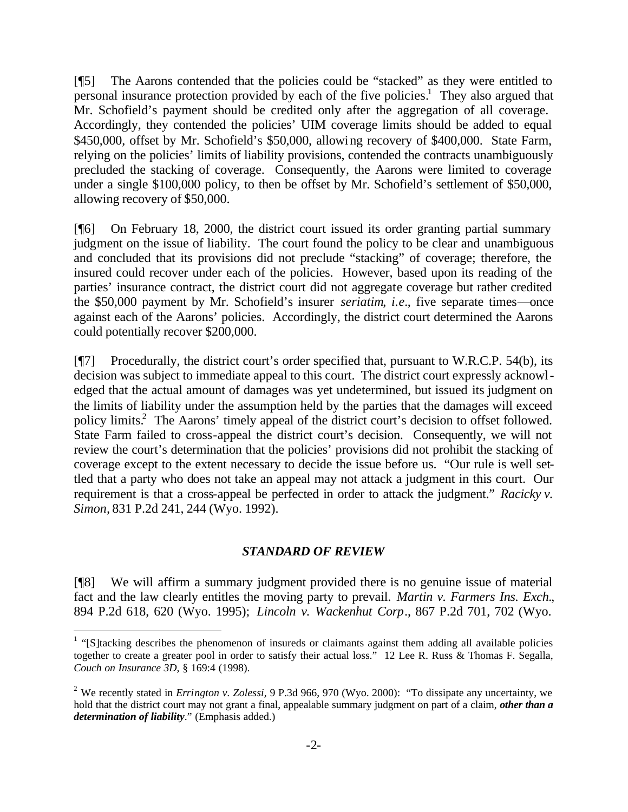[¶5] The Aarons contended that the policies could be "stacked" as they were entitled to personal insurance protection provided by each of the five policies.<sup>1</sup> They also argued that Mr. Schofield's payment should be credited only after the aggregation of all coverage. Accordingly, they contended the policies' UIM coverage limits should be added to equal \$450,000, offset by Mr. Schofield's \$50,000, allowing recovery of \$400,000. State Farm, relying on the policies' limits of liability provisions, contended the contracts unambiguously precluded the stacking of coverage. Consequently, the Aarons were limited to coverage under a single \$100,000 policy, to then be offset by Mr. Schofield's settlement of \$50,000, allowing recovery of \$50,000.

[¶6] On February 18, 2000, the district court issued its order granting partial summary judgment on the issue of liability. The court found the policy to be clear and unambiguous and concluded that its provisions did not preclude "stacking" of coverage; therefore, the insured could recover under each of the policies. However, based upon its reading of the parties' insurance contract, the district court did not aggregate coverage but rather credited the \$50,000 payment by Mr. Schofield's insurer *seriatim*, *i.e.*, five separate times—once against each of the Aarons' policies. Accordingly, the district court determined the Aarons could potentially recover \$200,000.

[¶7] Procedurally, the district court's order specified that, pursuant to W.R.C.P. 54(b), its decision was subject to immediate appeal to this court. The district court expressly acknowledged that the actual amount of damages was yet undetermined, but issued its judgment on the limits of liability under the assumption held by the parties that the damages will exceed policy limits.<sup>2</sup> The Aarons' timely appeal of the district court's decision to offset followed. State Farm failed to cross-appeal the district court's decision. Consequently, we will not review the court's determination that the policies' provisions did not prohibit the stacking of coverage except to the extent necessary to decide the issue before us. "Our rule is well settled that a party who does not take an appeal may not attack a judgment in this court. Our requirement is that a cross-appeal be perfected in order to attack the judgment." *Racicky v. Simon,* 831 P.2d 241, 244 (Wyo. 1992).

#### *STANDARD OF REVIEW*

[¶8] We will affirm a summary judgment provided there is no genuine issue of material fact and the law clearly entitles the moving party to prevail. *Martin v. Farmers Ins. Exch.*, 894 P.2d 618, 620 (Wyo. 1995); *Lincoln v. Wackenhut Corp*., 867 P.2d 701, 702 (Wyo.

 $1$  "[S]tacking describes the phenomenon of insureds or claimants against them adding all available policies together to create a greater pool in order to satisfy their actual loss." 12 Lee R. Russ & Thomas F. Segalla, *Couch on Insurance 3D*, § 169:4 (1998).

<sup>&</sup>lt;sup>2</sup> We recently stated in *Errington v. Zolessi*, 9 P.3d 966, 970 (Wyo. 2000): "To dissipate any uncertainty, we hold that the district court may not grant a final, appealable summary judgment on part of a claim, *other than a determination of liability*." (Emphasis added.)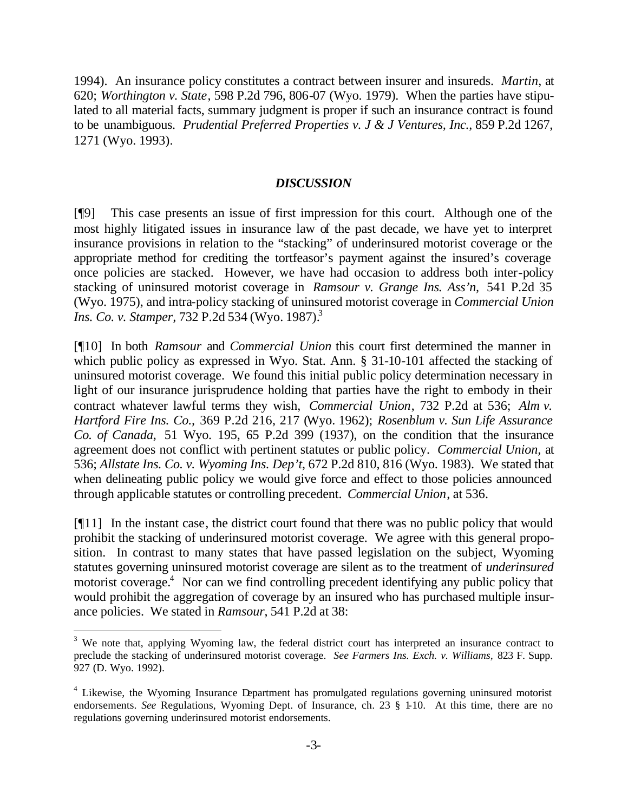1994). An insurance policy constitutes a contract between insurer and insureds. *Martin*, at 620; *Worthington v. State*, 598 P.2d 796, 806-07 (Wyo. 1979). When the parties have stipulated to all material facts, summary judgment is proper if such an insurance contract is found to be unambiguous. *Prudential Preferred Properties v. J & J Ventures, Inc.*, 859 P.2d 1267, 1271 (Wyo. 1993).

#### *DISCUSSION*

[¶9] This case presents an issue of first impression for this court. Although one of the most highly litigated issues in insurance law of the past decade, we have yet to interpret insurance provisions in relation to the "stacking" of underinsured motorist coverage or the appropriate method for crediting the tortfeasor's payment against the insured's coverage once policies are stacked. However, we have had occasion to address both inter-policy stacking of uninsured motorist coverage in *Ramsour v. Grange Ins. Ass'n,* 541 P.2d 35 (Wyo. 1975), and intra-policy stacking of uninsured motorist coverage in *Commercial Union Ins. Co. v. Stamper, 732 P.2d 534 (Wyo. 1987).*<sup>3</sup>

[¶10] In both *Ramsour* and *Commercial Union* this court first determined the manner in which public policy as expressed in Wyo. Stat. Ann. § 31-10-101 affected the stacking of uninsured motorist coverage. We found this initial public policy determination necessary in light of our insurance jurisprudence holding that parties have the right to embody in their contract whatever lawful terms they wish, *Commercial Union*, 732 P.2d at 536; *Alm v. Hartford Fire Ins. Co.,* 369 P.2d 216, 217 (Wyo. 1962); *Rosenblum v. Sun Life Assurance Co. of Canada,* 51 Wyo. 195, 65 P.2d 399 (1937), on the condition that the insurance agreement does not conflict with pertinent statutes or public policy. *Commercial Union,* at 536; *Allstate Ins. Co. v. Wyoming Ins. Dep't*, 672 P.2d 810, 816 (Wyo. 1983). We stated that when delineating public policy we would give force and effect to those policies announced through applicable statutes or controlling precedent. *Commercial Union*, at 536.

[¶11] In the instant case, the district court found that there was no public policy that would prohibit the stacking of underinsured motorist coverage. We agree with this general proposition. In contrast to many states that have passed legislation on the subject, Wyoming statutes governing uninsured motorist coverage are silent as to the treatment of *underinsured* motorist coverage.<sup>4</sup> Nor can we find controlling precedent identifying any public policy that would prohibit the aggregation of coverage by an insured who has purchased multiple insurance policies. We stated in *Ramsour*, 541 P.2d at 38:

 $3$  We note that, applying Wyoming law, the federal district court has interpreted an insurance contract to preclude the stacking of underinsured motorist coverage. *See Farmers Ins. Exch. v. Williams,* 823 F. Supp. 927 (D. Wyo. 1992).

<sup>&</sup>lt;sup>4</sup> Likewise, the Wyoming Insurance Department has promulgated regulations governing uninsured motorist endorsements. *See* Regulations, Wyoming Dept. of Insurance, ch. 23 § 1-10. At this time, there are no regulations governing underinsured motorist endorsements.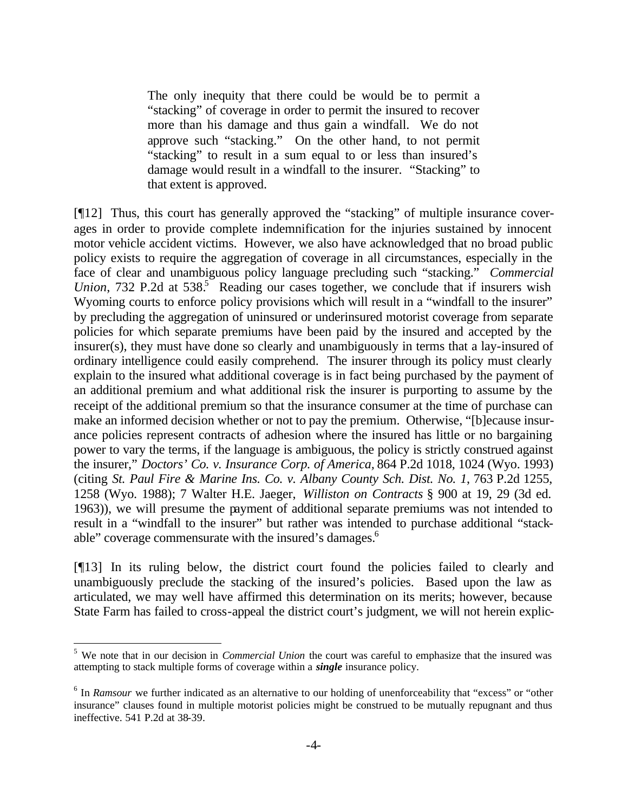The only inequity that there could be would be to permit a "stacking" of coverage in order to permit the insured to recover more than his damage and thus gain a windfall. We do not approve such "stacking." On the other hand, to not permit "stacking" to result in a sum equal to or less than insured's damage would result in a windfall to the insurer. "Stacking" to that extent is approved.

[¶12] Thus, this court has generally approved the "stacking" of multiple insurance coverages in order to provide complete indemnification for the injuries sustained by innocent motor vehicle accident victims. However, we also have acknowledged that no broad public policy exists to require the aggregation of coverage in all circumstances, especially in the face of clear and unambiguous policy language precluding such "stacking." *Commercial*  Union, 732 P.2d at 538.<sup>5</sup> Reading our cases together, we conclude that if insurers wish Wyoming courts to enforce policy provisions which will result in a "windfall to the insurer" by precluding the aggregation of uninsured or underinsured motorist coverage from separate policies for which separate premiums have been paid by the insured and accepted by the insurer(s), they must have done so clearly and unambiguously in terms that a lay-insured of ordinary intelligence could easily comprehend. The insurer through its policy must clearly explain to the insured what additional coverage is in fact being purchased by the payment of an additional premium and what additional risk the insurer is purporting to assume by the receipt of the additional premium so that the insurance consumer at the time of purchase can make an informed decision whether or not to pay the premium. Otherwise, "[b]ecause insurance policies represent contracts of adhesion where the insured has little or no bargaining power to vary the terms, if the language is ambiguous, the policy is strictly construed against the insurer," *Doctors' Co. v. Insurance Corp. of America,* 864 P.2d 1018, 1024 (Wyo. 1993) (citing *St. Paul Fire & Marine Ins. Co. v. Albany County Sch. Dist. No. 1*, 763 P.2d 1255, 1258 (Wyo. 1988); 7 Walter H.E. Jaeger, *Williston on Contracts* § 900 at 19, 29 (3d ed. 1963)), we will presume the payment of additional separate premiums was not intended to result in a "windfall to the insurer" but rather was intended to purchase additional "stackable" coverage commensurate with the insured's damages.<sup>6</sup>

[¶13] In its ruling below, the district court found the policies failed to clearly and unambiguously preclude the stacking of the insured's policies. Based upon the law as articulated, we may well have affirmed this determination on its merits; however, because State Farm has failed to cross-appeal the district court's judgment, we will not herein explic-

<sup>&</sup>lt;sup>5</sup> We note that in our decision in *Commercial Union* the court was careful to emphasize that the insured was attempting to stack multiple forms of coverage within a *single* insurance policy.

<sup>&</sup>lt;sup>6</sup> In *Ramsour* we further indicated as an alternative to our holding of unenforceability that "excess" or "other insurance" clauses found in multiple motorist policies might be construed to be mutually repugnant and thus ineffective. 541 P.2d at 38-39.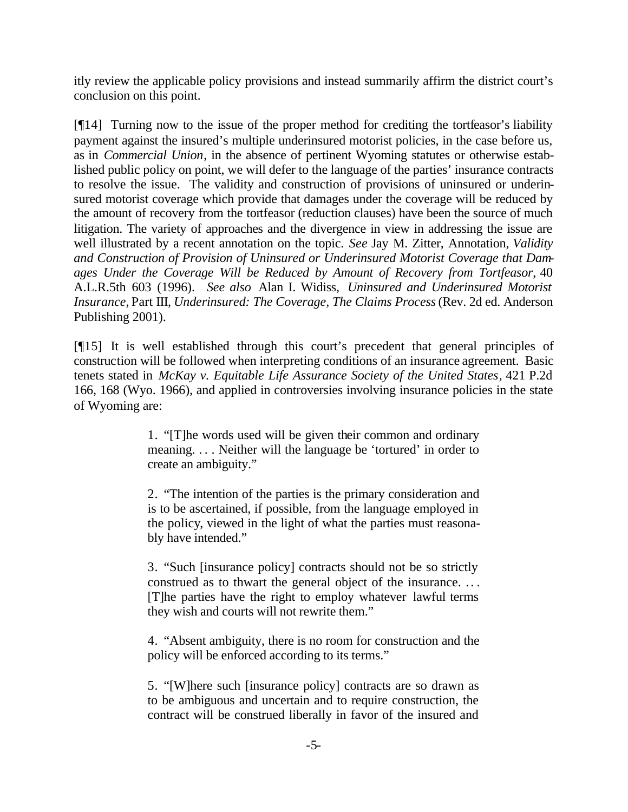itly review the applicable policy provisions and instead summarily affirm the district court's conclusion on this point.

[¶14] Turning now to the issue of the proper method for crediting the tortfeasor's liability payment against the insured's multiple underinsured motorist policies, in the case before us, as in *Commercial Union*, in the absence of pertinent Wyoming statutes or otherwise established public policy on point, we will defer to the language of the parties' insurance contracts to resolve the issue. The validity and construction of provisions of uninsured or underinsured motorist coverage which provide that damages under the coverage will be reduced by the amount of recovery from the tortfeasor (reduction clauses) have been the source of much litigation. The variety of approaches and the divergence in view in addressing the issue are well illustrated by a recent annotation on the topic. *See* Jay M. Zitter, Annotation, *Validity and Construction of Provision of Uninsured or Underinsured Motorist Coverage that Damages Under the Coverage Will be Reduced by Amount of Recovery from Tortfeasor*, 40 A.L.R.5th 603 (1996). *See also* Alan I. Widiss, *Uninsured and Underinsured Motorist Insurance,* Part III, *Underinsured: The Coverage, The Claims Process* (Rev. 2d ed. Anderson Publishing 2001).

[¶15] It is well established through this court's precedent that general principles of construction will be followed when interpreting conditions of an insurance agreement. Basic tenets stated in *McKay v. Equitable Life Assurance Society of the United States*, 421 P.2d 166, 168 (Wyo. 1966), and applied in controversies involving insurance policies in the state of Wyoming are:

> 1. "[T]he words used will be given their common and ordinary meaning. . . . Neither will the language be 'tortured' in order to create an ambiguity."

> 2. "The intention of the parties is the primary consideration and is to be ascertained, if possible, from the language employed in the policy, viewed in the light of what the parties must reasonably have intended."

> 3. "Such [insurance policy] contracts should not be so strictly construed as to thwart the general object of the insurance. .. . [T]he parties have the right to employ whatever lawful terms they wish and courts will not rewrite them."

> 4. "Absent ambiguity, there is no room for construction and the policy will be enforced according to its terms."

> 5. "[W]here such [insurance policy] contracts are so drawn as to be ambiguous and uncertain and to require construction, the contract will be construed liberally in favor of the insured and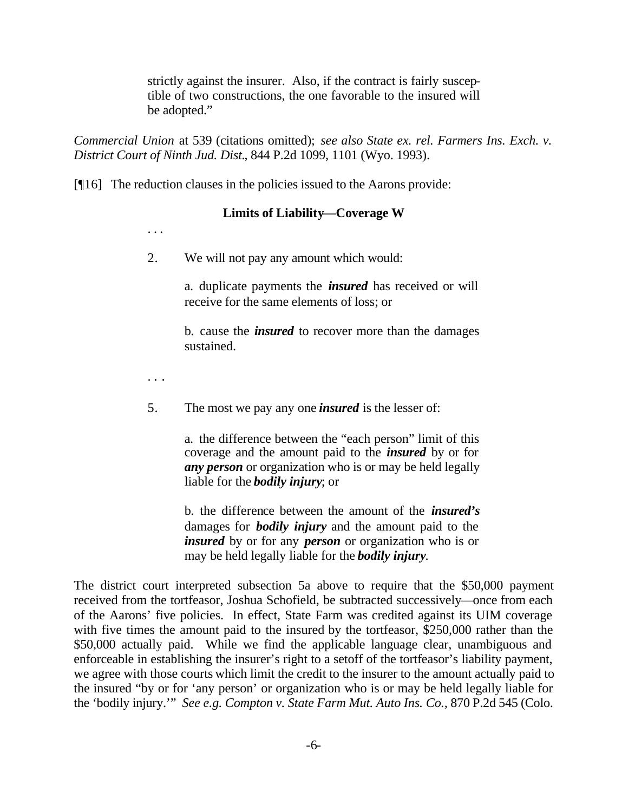strictly against the insurer. Also, if the contract is fairly susceptible of two constructions, the one favorable to the insured will be adopted."

*Commercial Union* at 539 (citations omitted); *see also State ex. rel. Farmers Ins. Exch. v. District Court of Ninth Jud. Dist.*, 844 P.2d 1099, 1101 (Wyo. 1993).

[¶16] The reduction clauses in the policies issued to the Aarons provide:

## **Limits of Liability—Coverage W**

. . .

2. We will not pay any amount which would:

a. duplicate payments the *insured* has received or will receive for the same elements of loss; or

b. cause the *insured* to recover more than the damages sustained.

. . .

5. The most we pay any one *insured* is the lesser of:

a. the difference between the "each person" limit of this coverage and the amount paid to the *insured* by or for *any person* or organization who is or may be held legally liable for the *bodily injury*; or

b. the difference between the amount of the *insured's* damages for *bodily injury* and the amount paid to the *insured* by or for any *person* or organization who is or may be held legally liable for the *bodily injury*.

The district court interpreted subsection 5a above to require that the \$50,000 payment received from the tortfeasor, Joshua Schofield, be subtracted successively—once from each of the Aarons' five policies. In effect, State Farm was credited against its UIM coverage with five times the amount paid to the insured by the tortfeasor, \$250,000 rather than the \$50,000 actually paid. While we find the applicable language clear, unambiguous and enforceable in establishing the insurer's right to a setoff of the tortfeasor's liability payment, we agree with those courts which limit the credit to the insurer to the amount actually paid to the insured "by or for 'any person' or organization who is or may be held legally liable for the 'bodily injury.'" *See e.g. Compton v. State Farm Mut. Auto Ins. Co.,* 870 P.2d 545 (Colo.